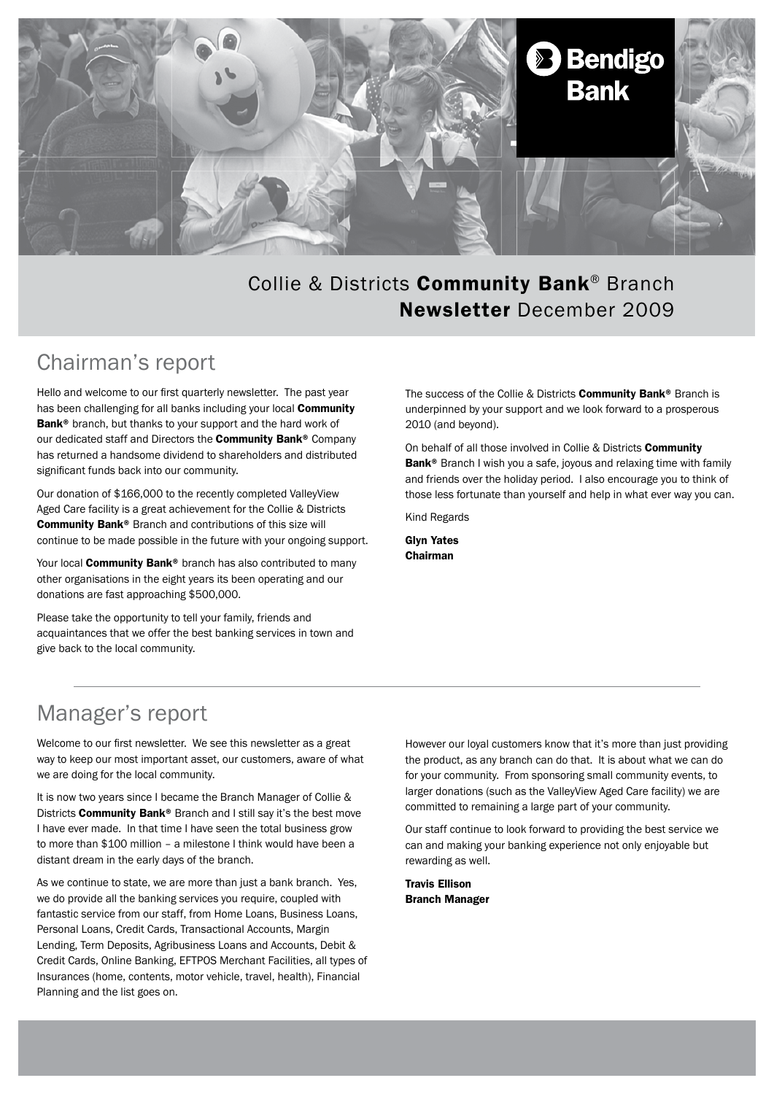

### Collie & Districts Community Bank® Branch Newsletter December 2009

### Chairman's report

Hello and welcome to our first quarterly newsletter. The past year has been challenging for all banks including your local **Community** Bank<sup>®</sup> branch, but thanks to your support and the hard work of our dedicated staff and Directors the **Community Bank®** Company has returned a handsome dividend to shareholders and distributed significant funds back into our community.

Our donation of \$166,000 to the recently completed ValleyView Aged Care facility is a great achievement for the Collie & Districts Community Bank® Branch and contributions of this size will continue to be made possible in the future with your ongoing support.

Your local **Community Bank®** branch has also contributed to many other organisations in the eight years its been operating and our donations are fast approaching \$500,000.

Please take the opportunity to tell your family, friends and acquaintances that we offer the best banking services in town and give back to the local community.

The success of the Collie & Districts Community Bank® Branch is underpinned by your support and we look forward to a prosperous 2010 (and beyond).

On behalf of all those involved in Collie & Districts Community Bank<sup>®</sup> Branch I wish you a safe, joyous and relaxing time with family and friends over the holiday period. I also encourage you to think of those less fortunate than yourself and help in what ever way you can.

Kind Regards

Glyn Yates Chairman

## Manager's report

Welcome to our first newsletter. We see this newsletter as a great way to keep our most important asset, our customers, aware of what we are doing for the local community.

It is now two years since I became the Branch Manager of Collie & Districts **Community Bank®** Branch and I still say it's the best move I have ever made. In that time I have seen the total business grow to more than \$100 million – a milestone I think would have been a distant dream in the early days of the branch.

As we continue to state, we are more than just a bank branch. Yes, we do provide all the banking services you require, coupled with fantastic service from our staff, from Home Loans, Business Loans, Personal Loans, Credit Cards, Transactional Accounts, Margin Lending, Term Deposits, Agribusiness Loans and Accounts, Debit & Credit Cards, Online Banking, EFTPOS Merchant Facilities, all types of Insurances (home, contents, motor vehicle, travel, health), Financial Planning and the list goes on.

However our loyal customers know that it's more than just providing the product, as any branch can do that. It is about what we can do for your community. From sponsoring small community events, to larger donations (such as the ValleyView Aged Care facility) we are committed to remaining a large part of your community.

Our staff continue to look forward to providing the best service we can and making your banking experience not only enjoyable but rewarding as well.

Travis Ellison Branch Manager